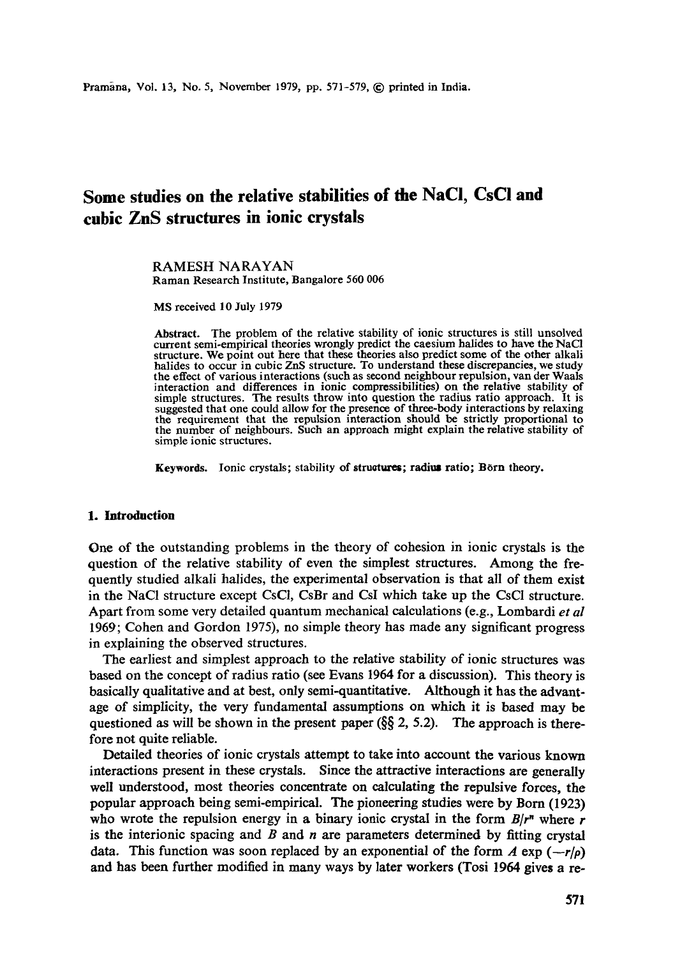# **Some studies on the relative stabilities of the NaCi, CsCl and cubic ZnS structures in ionic crystals**

RAMESH NARAYAN Raman Research Institute, Bangalore 560 006

MS received 10 July 1979

Abstract. The problem of the relative stability of ionic structures is still unsolved current semi-empirical theories wrongly predict the caesium halides to have the NaCI structure. We point out here that these theories also predict some of the other alkali halides to occur in cubic ZnS structure. To understand these discrepancies, we study the effect of various interactions (such as second neighbour repulsion, van der Waals interaction and differences in ionic compressibilities) on the relative stability of simple structures. The results throw into question the radius ratio approach. It is suggested that one could allow for the presence of three-body interactions by relaxing the requirement that the repulsion interaction should be strictly proportional to the number of neighbours. Such an approach might explain the relative stability of simple ionic structures.

Keywords. Ionic crystals; stability of structures; radius ratio; Born theory.

### **1. Introduction**

One of the outstanding problems in the theory of cohesion in ionic crystals is the question of the relative stability of even the simplest structures. Among the frequently studied alkali halides, the experimental observation is that all of them exist in the NaC1 structure except CsC1, CsBr and CsI which take up the CsCI structure. Apart from some very detailed quantum mechanical calculations (e.g., Lombardi *et al*  1969; Cohen and Gordon 1975), no simple theory has made any significant progress in explaining the observed structures.

The earliest and simplest approach to the relative stability of ionic structures was based on the concept of radius ratio (see Evans 1964 for a discussion). This theory is basically qualitative and at best, only semi-quantitative. Although it has the advantage of simplicity, the very fundamental assumptions on which it is based may be questioned as will be shown in the present paper  $(\S_{\S} 2, 5.2)$ . The approach is therefore not quite reliable.

Detailed theories of ionic crystals attempt to take into account the various known interactions present in these crystals. Since the attractive interactions are generally well understood, most theories concentrate on calculating the repulsive forces, the popular approach being semi-empirical. The pioneering studies were by Born (1923) who wrote the repulsion energy in a binary ionic crystal in the form  $B/r^n$  where r is the interionic spacing and  $B$  and  $n$  are parameters determined by fitting crystal data. This function was soon replaced by an exponential of the form  $A \exp(-r/\rho)$ and has been further modified in many ways by later workers (Tosi 1964 gives a re-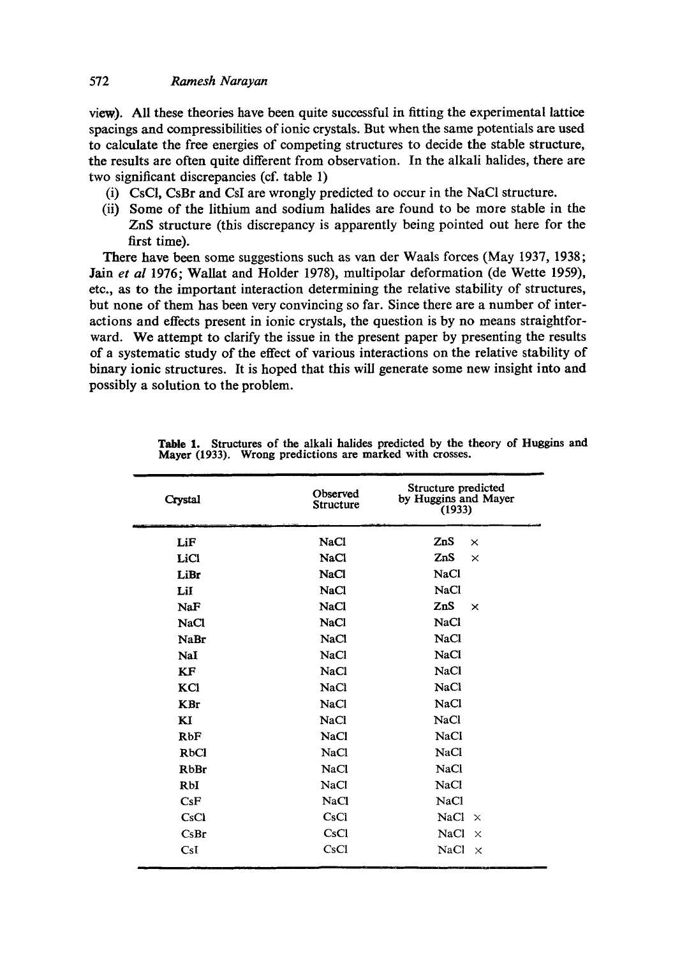### 572 *Ramesh Narayan*

view). All these theories have been quite successful in fitting the experimental lattice spacings and eompressibilities of ionic crystals. But whert the same potentials are used to calculate the free energies of competing structures to decide the stable structure, the results are often quite different from observation. In the alkali halides, there are two significant discrepancies (cf. table 1)

- (i) CsCI, CsBr and CsI are wrongly predicted to occur in the NaCI structure.
- (ii) Some of the lithium and sodium halides are found to be more stable in the ZnS structure (this discrepancy is apparently being pointed out here for the first time).

There have been some suggestions such as van der Waals forces (May 1937, 1938; Jain *et al* 1976; Wallat and Holder 1978), multipolar deformation (de Wette 1959), etc., as to the important interaction determining the relative stability of structures, but none of them has been very convincing so far. Since there are a number of interactions and effects present in ionic crystals, the question is by no means straightforward. We attempt to clarify the issue in the present paper by presenting the results of a systematic study of the effect of various interactions on the relative stability of binary ionic structures. It is hoped that this will generate some new insight into and possibly a solution to the problem.

| Crystal           | Observed<br>Structure | Structure predicted<br>by Huggins and Mayer<br>(1933) |
|-------------------|-----------------------|-------------------------------------------------------|
| LiF               | <b>NaCl</b>           | ZnS<br>$\times$                                       |
| LiCl              | <b>NaCl</b>           | ZnS<br>$\times$                                       |
| LiBr              | <b>NaCl</b>           | <b>NaCl</b>                                           |
| LiI               | <b>NaCl</b>           | <b>NaCl</b>                                           |
| NaF               | <b>NaCl</b>           | ZnS<br>$\times$                                       |
| <b>NaCl</b>       | <b>NaCl</b>           | <b>NaCl</b>                                           |
| <b>NaBr</b>       | <b>NaCl</b>           | <b>NaCl</b>                                           |
| NaI               | <b>NaCl</b>           | <b>NaCl</b>                                           |
| <b>KF</b>         | <b>NaCl</b>           | <b>NaCl</b>                                           |
| KCI               | <b>NaCl</b>           | <b>NaCl</b>                                           |
| <b>KBr</b>        | <b>NaCl</b>           | <b>NaCl</b>                                           |
| KI                | <b>NaCl</b>           | NaCl                                                  |
| <b>RbF</b>        | <b>NaCl</b>           | <b>NaCl</b>                                           |
| RbCl              | <b>NaCl</b>           | <b>NaCl</b>                                           |
| <b>RbBr</b>       | NaCl                  | <b>NaCl</b>                                           |
| RbI               | NaCl                  | <b>NaCl</b>                                           |
| CsF               | <b>NaCl</b>           | <b>NaCl</b>                                           |
| CsCl              | CsCl                  | <b>NaCl</b><br>$\mathbf{\times}$                      |
| C <sub>s</sub> Br | CsCl                  | <b>NaCl</b><br>$\times$                               |
| CsI               | CsCl                  | <b>NaCl</b><br>$\times$                               |

| Table 1. Structures of the alkali halides predicted by the theory of Huggins and |  |  |  |
|----------------------------------------------------------------------------------|--|--|--|
| Mayer (1933). Wrong predictions are marked with crosses.                         |  |  |  |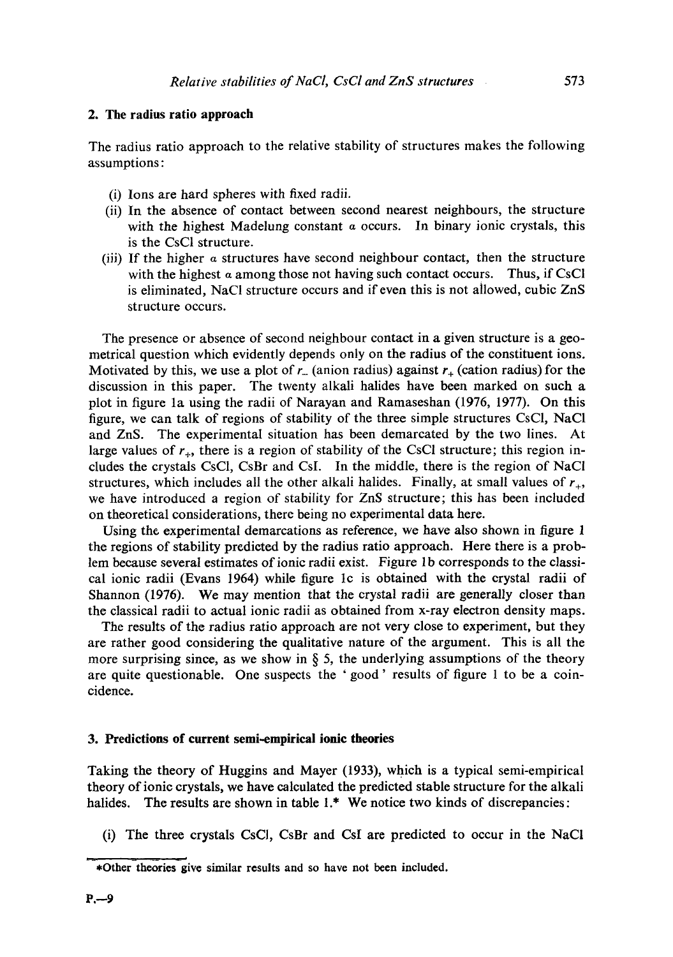### **2. The radius ratio approach**

The radius ratio approach to the relative stability of structures makes the following assumptions:

- (i) Ions are hard spheres with fixed radii.
- (ii) In the absence of contact between second nearest neighbours, the structure with the highest Madelung constant  $\alpha$  occurs. In binary ionic crystals, this is the CsCI structure.
- (iii) If the higher  $\alpha$  structures have second neighbour contact, then the structure with the highest  $\alpha$  among those not having such contact occurs. Thus, if CsCl is eliminated, NaCI structure occurs and if even this is not allowed, cubic ZnS structure occurs.

The presence or absence of second neighbour contact in a given structure is a geometrical question which evidently depends only on the radius of the constituent ions. Motivated by this, we use a plot of  $r<sub>-</sub>$  (anion radius) against  $r<sub>+</sub>$  (cation radius) for the discussion in this paper. The twenty alkali halides have been marked on such a plot in figure la using the radii of Narayan and Ramaseshan (1976, 1977). On this figure, we can talk of regions of stability of the three simple structures CsCI, NaCI and ZnS. The experimental situation has been demarcated by the two lines. At large values of  $r_{+}$ , there is a region of stability of the CsCl structure; this region includes the crystals CsC1, CsBr and CsI. In the middle, there is the region of NaCI structures, which includes all the other alkali halides. Finally, at small values of  $r_{+}$ , we have introduced a region of stability for ZnS structure; this has been included on theoretical considerations, there being no experimental data here.

Using the experimental demarcations as reference, we have also shown in figure 1 the regions of stability predicted by the radius ratio approach. Here there is a problem because several estimates of ionic radii exist. Figure 1b corresponds to the classical ionic radii (Evans 1964) while figure lc is obtained with the crystal radii of Shannon (1976). We may mention that the crystal radii are generally closer than the classical radii to actual ionic radii as obtained from x-ray electron density maps.

The results of the radius ratio approach are not very close to experiment, but they are rather good considering the qualitative nature of the argument. This is all the more surprising since, as we show in  $\S$  5, the underlying assumptions of the theory are quite questionable. One suspects the ' good' results of figure 1 to be a coincidence.

#### **3. Predictions of current semi-empirical ionic theories**

Taking the theory of Huggins and Mayer (1933), which is a typical semi-empirical theory of ionic crystals, we have calculated the predicted stable structure for the alkali halides. The results are shown in table 1.\* We notice two kinds of discrepancies:

(i) The three crystals CsCI, CsBr and CsI are predicted to occur in the NaCI

<sup>• -\*</sup>Other-theoriesgive similar results and so have not been included.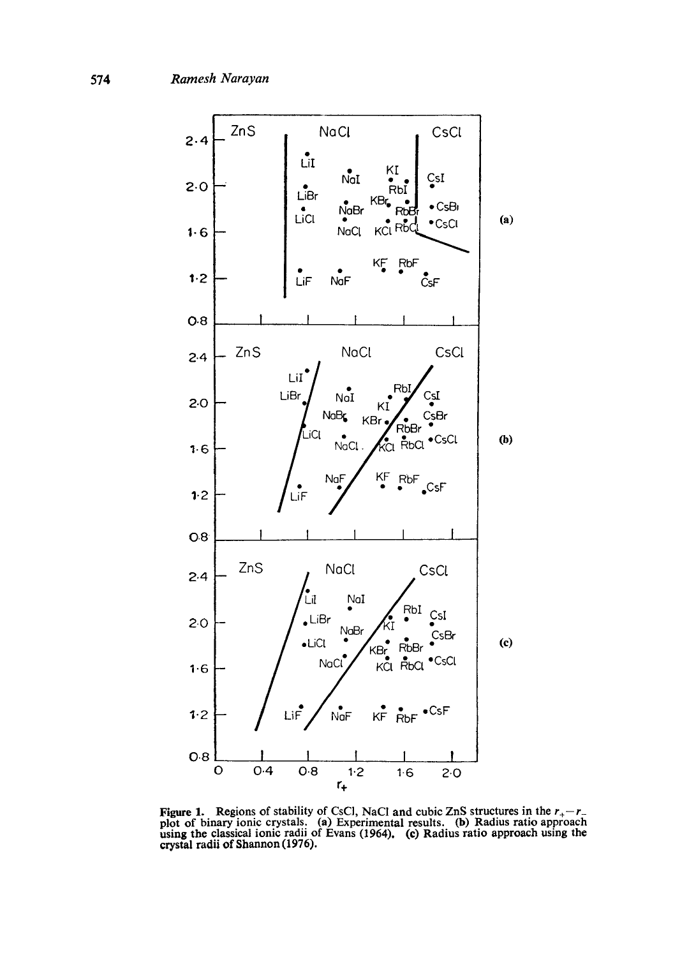

**Figure 1.** Regions of stability of CsCl, NaCl and cubic ZnS structures in the  $r_{+}-r_{-}$ plot of binary ionic crystals. (a) Experimental results. (b) Radius ratio approach using the classical ionic radii of Evans (1964). (c) Radius ratio approach using the crystal radii of Shannon (1976).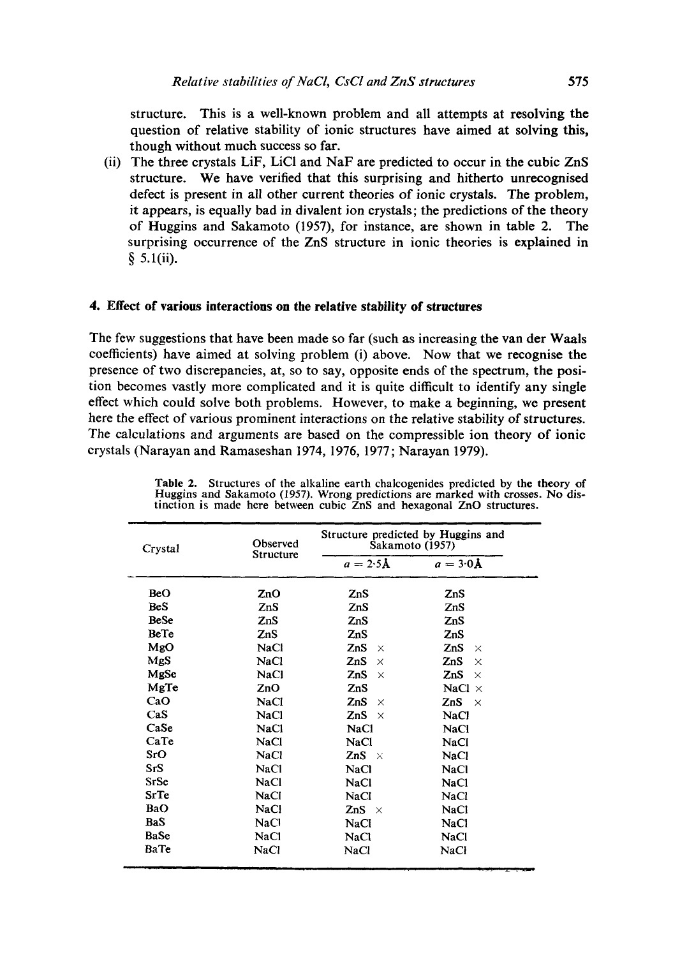structure. This is a well-known problem and all attempts at resolving the question of relative stability of ionic structures have aimed at solving this, though without much success so far.

(ii) The three crystals LiF, LiCI and NaF are predicted to occur in the cubic ZnS structure. We have verified that this surprising and hitherto unrecognised defect is present in all other current theories of ionic crystals. The problem, it appears, is equally bad in divalent ion crystals; the predictions of the theory of Huggins and Sakamoto (1957), for instance, are shown in table 2. The surprising occurrence of the ZnS structure in ionic theories is explained in  $§ 5.1(ii).$ 

### **4. Effect of various interactions on the relative stability of structures**

The few suggestions that have been made so far (such as increasing the van der Waals coefficients) have aimed at solving problem (i) above. Now that we recognise the presence of two discrepancies, at, so to say, opposite ends of the spectrum, the position becomes vastly more complicated and it is quite difficult to identify any single effect which could solve both problems. However, to make a beginning, we present here the effect of various prominent interactions on the relative stability of structures. The calculations and arguments are based on the compressible ion theory of ionic crystals (Narayan and Ramaseshan 1974, 1976, 1977; Narayan 1979).

| Crystal     | Observed<br>Structure | Structure predicted by Huggins and<br>Sakamoto (1957) |                         |  |
|-------------|-----------------------|-------------------------------------------------------|-------------------------|--|
|             |                       | $a = 2.5A$                                            | $a = 3.0\,\mathrm{\AA}$ |  |
| <b>BeO</b>  | ZnO                   | ZnS                                                   | ZnS                     |  |
| <b>BeS</b>  | ZnS                   | ZnS                                                   | ZnS                     |  |
| <b>BeSe</b> | ZnS                   | ZnS                                                   | ZnS                     |  |
| BeTe        | ZnS                   | ZnS                                                   | ZnS                     |  |
| MgO         | <b>NaCl</b>           | ZnS<br>$\times$                                       | ZnS<br>$\times$         |  |
| MgS         | NaCl                  | ZnS<br>$\times$                                       | ZnS<br>$\times$         |  |
| MgSe        | NaCl                  | ZnS<br>X                                              | ZnS<br>$\times$         |  |
| MgTe        | ZnO                   | ZnS                                                   | NaCl $\times$           |  |
| CaO         | NaCl                  | ZnS<br>$\times$                                       | ZnS<br>$\times$         |  |
| $\cos$      | NaCl                  | ZnS<br>$\times$                                       | NaCl                    |  |
| CaSe        | <b>NaCl</b>           | <b>NaCl</b>                                           | <b>NaCl</b>             |  |
| CaTe        | <b>NaCl</b>           | <b>NaCl</b>                                           | <b>NaCl</b>             |  |
| SrO         | <b>NaCl</b>           | ZnS $\times$                                          | NaCl                    |  |
| SrS         | NaCl                  | NaCl                                                  | NaCl                    |  |
| SrSe        | <b>NaCl</b>           | <b>NaCl</b>                                           | <b>NaCl</b>             |  |
| <b>SrTe</b> | NaCl                  | NaCl                                                  | NaCl                    |  |
| BaO         | <b>NaCl</b>           | ZnS $\times$                                          | <b>NaCl</b>             |  |
| <b>BaS</b>  | <b>NaCl</b>           | <b>NaCl</b>                                           | <b>NaCl</b>             |  |
| BaSe        | <b>NaCl</b>           | NaCl                                                  | <b>NaCl</b>             |  |
| BaTe        | NaCl                  | NaCl                                                  | <b>NaCl</b>             |  |

Table 2. Structures of the alkaline earth chalcogenides predicted by the theory of Huggins and Sakamoto (1957). Wrong predictions are marked with crosses. No distinction is made here between cubic ZnS and hexagonal ZnO structures.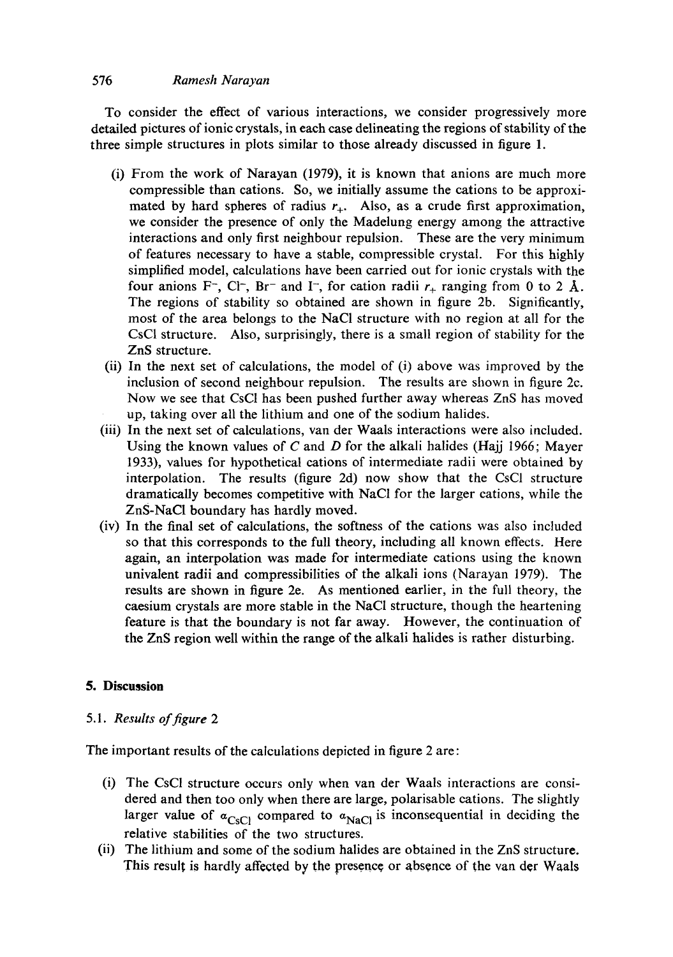# 576 *Ramesh Narayan*

To consider the effect of various interactions, we consider progressively more detailed pictures of ionic crystals, in each case delineating the regions of stability of the three simple structures in plots similar to those already discussed in figure 1.

- (i) From the work of Narayan (1979), it is known that anions are much more compressible than cations. So, we initially assume the cations to be approximated by hard spheres of radius  $r_{+}$ . Also, as a crude first approximation, we consider the presence of only the Madelung energy among the attractive interactions and only first neighbour repulsion. These are the very minimum of features necessary to have a stable, compressible crystal. For this highly simplified model, calculations have been carried out for ionic crystals with the four anions F<sup>-</sup>, Cl<sup>-</sup>, Br<sup>-</sup> and I<sup>-</sup>, for cation radii  $r_+$  ranging from 0 to 2 Å. The regions of stability so obtained are shown in figure 2b. Significantly, most of the area belongs to the NaCI structure with no region at all for the CsCI structure. Also, surprisingly, there is a small region of stability for the ZnS structure.
- (ii) In the next set of calculations, the model of (i) above was improved by the inclusion of second neighbour repulsion. The results are shown in figure 2c. Now we see that CsC1 has been pushed further away whereas ZnS has moved up, taking over all the lithium and one of the sodium halides.
- (iii) In the next set of calculations, van der Waals interactions were also included. Using the known values of C and D for the alkali halides (Hajj 1966; Mayer 1933), values for hypothetical cations of intermediate radii were obtained by interpolation. The results (figure 2d) now show that the CsCI structure dramatically becomes competitive with NaC1 for the larger cations, while the ZnS-NaC1 boundary has hardly moved.
- (iv) In the final set of calculations, the softness of the cations was also included so that this corresponds to the full theory, including all known effects. Here again, an interpolation was made for intermediate cations using the known univalent radii and compressibilities of the alkali ions (Narayan 1979). The results are shown in figure 2e. As mentioned earlier, in the full theory, the caesium crystals are more stable in the NaC1 structure, though the heartening feature is that the boundary is not far away. However, the continuation of the ZnS region well within the range of the alkali halides is rather disturbing.

# **5. Discussion**

# *5.1. Results of figure 2*

The important results of the calculations depicted in figure 2 are:

- (i) The CsCI structure occurs only when van der Waals interactions are considered and then too only when there are large, polarisable cations. The slightly larger value of  $\alpha_{CSCl}$  compared to  $\alpha_{NaCl}$  is inconsequential in deciding the relative stabilities of the two structures.
- (ii) The lithium and some of the sodium halides are obtained in the ZnS structure. This result is hardly affected by the presence or absence of the van der Waals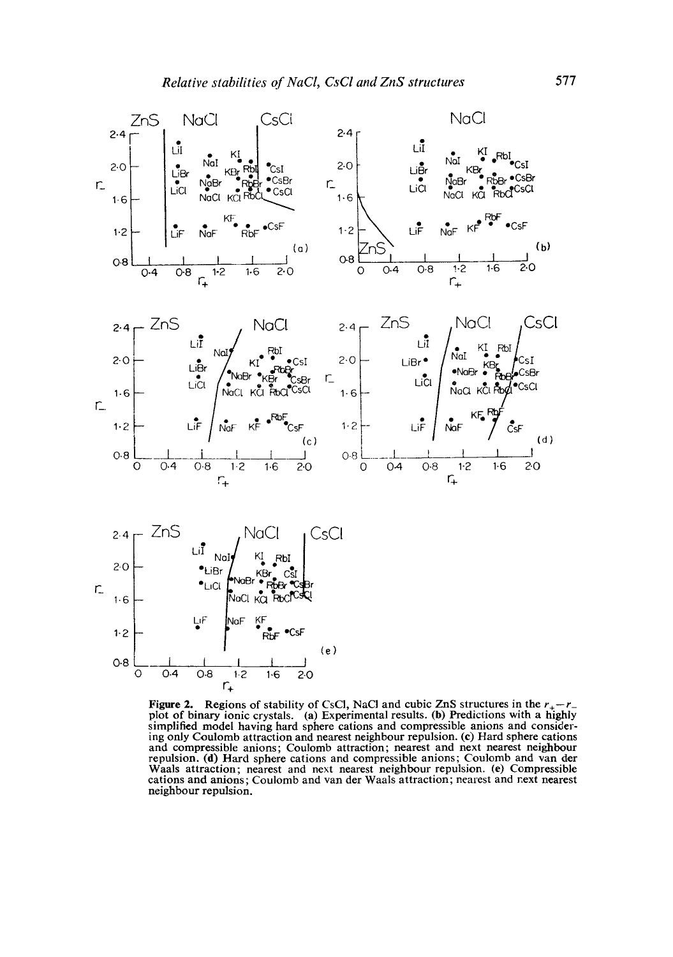

Figure 2. Regions of stability of CsCl, NaCl and cubic ZnS structures in the  $r_{+}-r_{-}$ plot of binary ionic crystals. (a) Experimental results. (b) Predictions with a highly simplified model having hard sphere cations and compressible anions and considering only Coulomb attraction and nearest neighbour repulsion. (¢) Hard sphere cations and compressible anions; Coulomb attraction; nearest and next nearest neighbour repulsion. (d) Hard sphere cations and compressible anions; Coulomb and van der Waals attraction; nearest and next nearest neighbour repulsion. (e) Compressible cations and anions; Coulomb and van der Waals attraction; nearest and next nearest neighbour repulsion.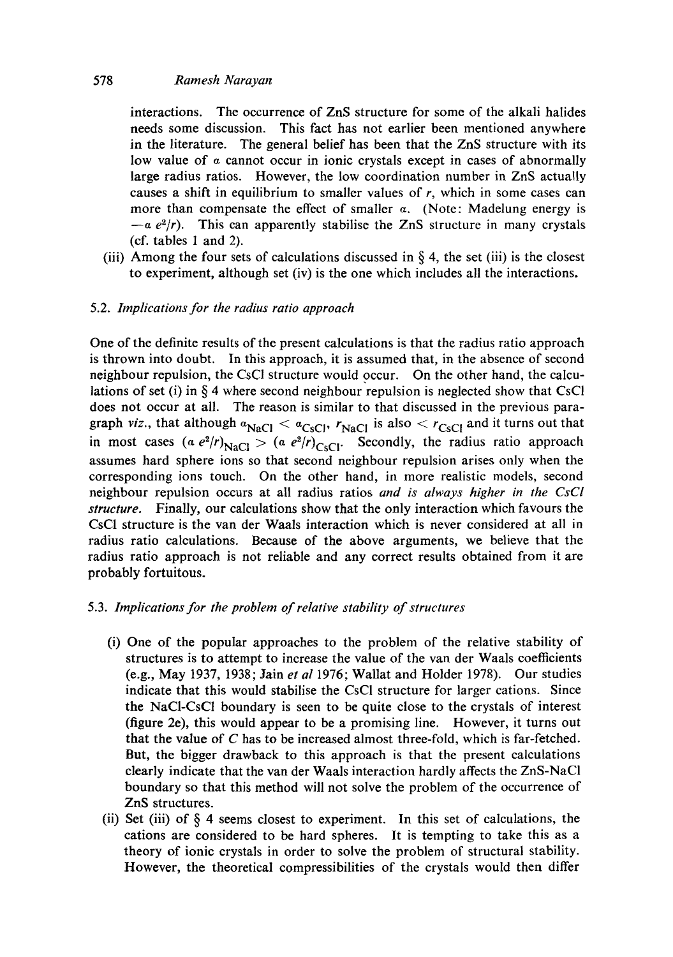# 578 *Ramesh Narayan*

interactions. The occurrence of ZnS structure for some of the alkali halides needs some discussion. This fact has not earlier been mentioned anywhere in the literature. The general belief has been that the ZnS structure with its low value of  $\alpha$  cannot occur in ionic crystals except in cases of abnormally large radius ratios. However, the low coordination number in ZnS actually causes a shift in equilibrium to smaller values of  $r$ , which in some cases can more than compensate the effect of smaller  $\alpha$ . (Note: Madelung energy is  $-a e^{2}/r$ ). This can apparently stabilise the ZnS structure in many crystals (cf. tables 1 and 2).

(iii) Among the four sets of calculations discussed in  $\S 4$ , the set (iii) is the closest to experiment, although set (iv) is the one which includes all the interactions.

# 5.2. *Implications for the radius ratio approach*

One of the definite results of the present calculations is that the radius ratio approach is thrown into doubt. In this approach, it is assumed that, in the absence of second neighbour repulsion, the CsC1 structure would occur. On the other hand, the calculations of set (i) in  $\S 4$  where second neighbour repulsion is neglected show that CsCl does not occur at all. The reason is similar to that discussed in the previous paragraph *viz.*, that although  $a_{NaCl} < a_{CsCl}$ ,  $r_{NaCl}$  is also  $and it turns out that$ in most cases  $(a e^2/r)_{\text{NaCl}} > (a e^2/r)_{\text{CsCl}}$ . Secondly, the radius ratio approach assumes hard sphere ions so that second neighbour repulsion arises only when the corresponding ions touch. On the other hand, in more realistic models, second neighbour repulsion occurs at all radius ratios *and is always higher in the CsCI structure.* Finally, our calculations show that the only interaction which favours the CsCI structure is the van der Waals interaction which is never considered at all in radius ratio calculations. Because of the above arguments, we believe that the radius ratio approach is not reliable and any correct results obtained from it are probably fortuitous.

# 5.3. *Implications for the problem of relative stability of structures*

- (i) One of the popular approaches to the problem of the relative stability of structures is to attempt to increase the value of the van der Waals coefficients (e.g., May 1937, 1938; Jain *et al* 1976; Wallat and Holder 1978). Our studies indicate that this would stabilise the CsCI structure for larger cations. Since the NaCI-CsC1 boundary is seen to be quite close to the crystals of interest (figure 2e), this would appear to be a promising line. However, it turns out that the value of C has to be increased almost three-fold, which is far-fetched. But, the bigger drawback to this approach is that the present calculations clearly indicate that the van der Waals interaction hardly affects the ZnS-NaCI boundary so that this method will not solve the problem of the occurrence of ZnS structures.
- (ii) Set (iii) of § 4 seems closest to experiment. In this set of calculations, the cations are considered to be hard spheres. It is tempting to take this as a theory of ionic crystals in order to solve the problem of structural stability. However, the theoretical compressibilities of the crystals would then differ